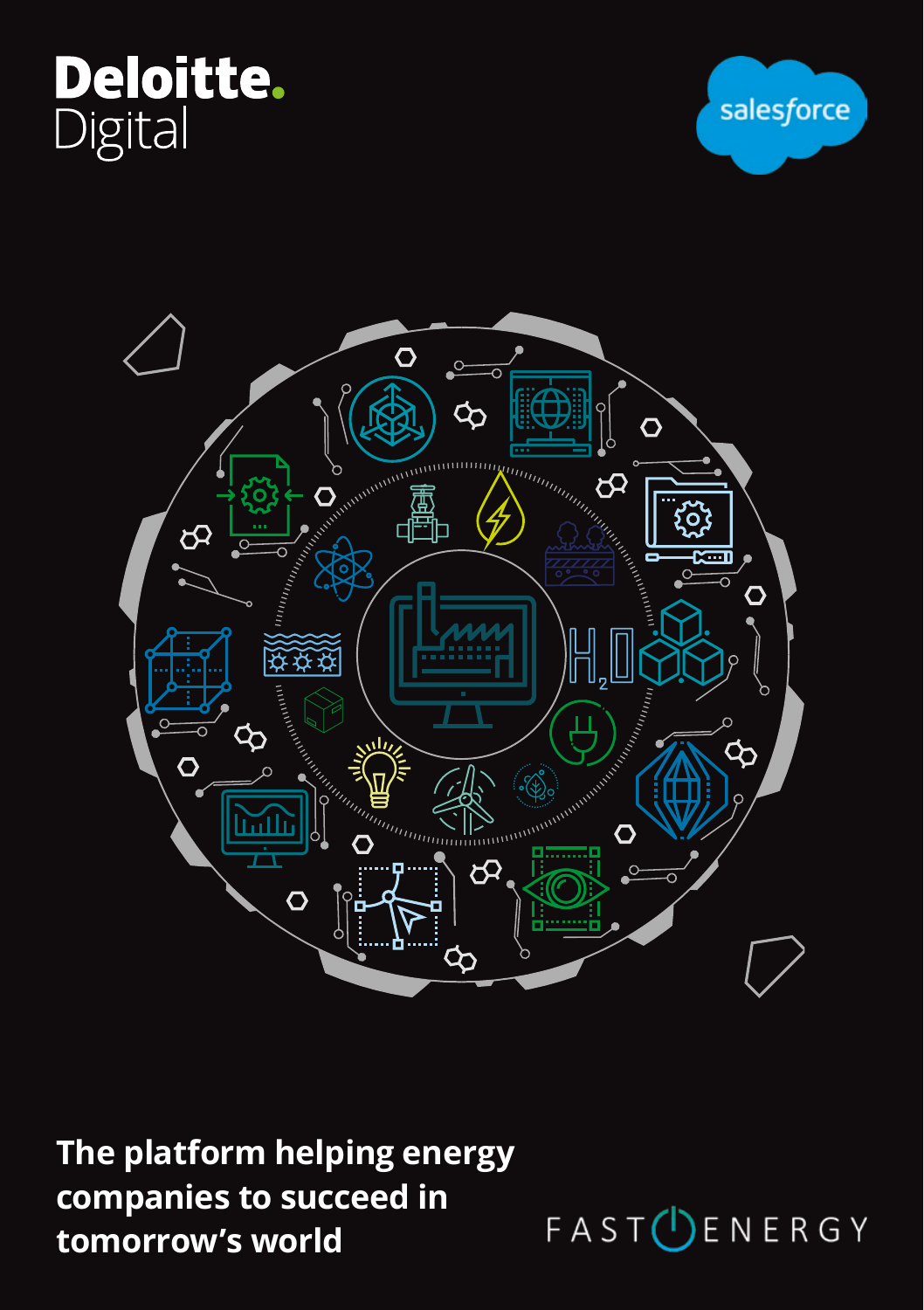





**The platform helping energy companies to succeed in tomorrow's world**

FAST<sup>(I</sup>)ENERGY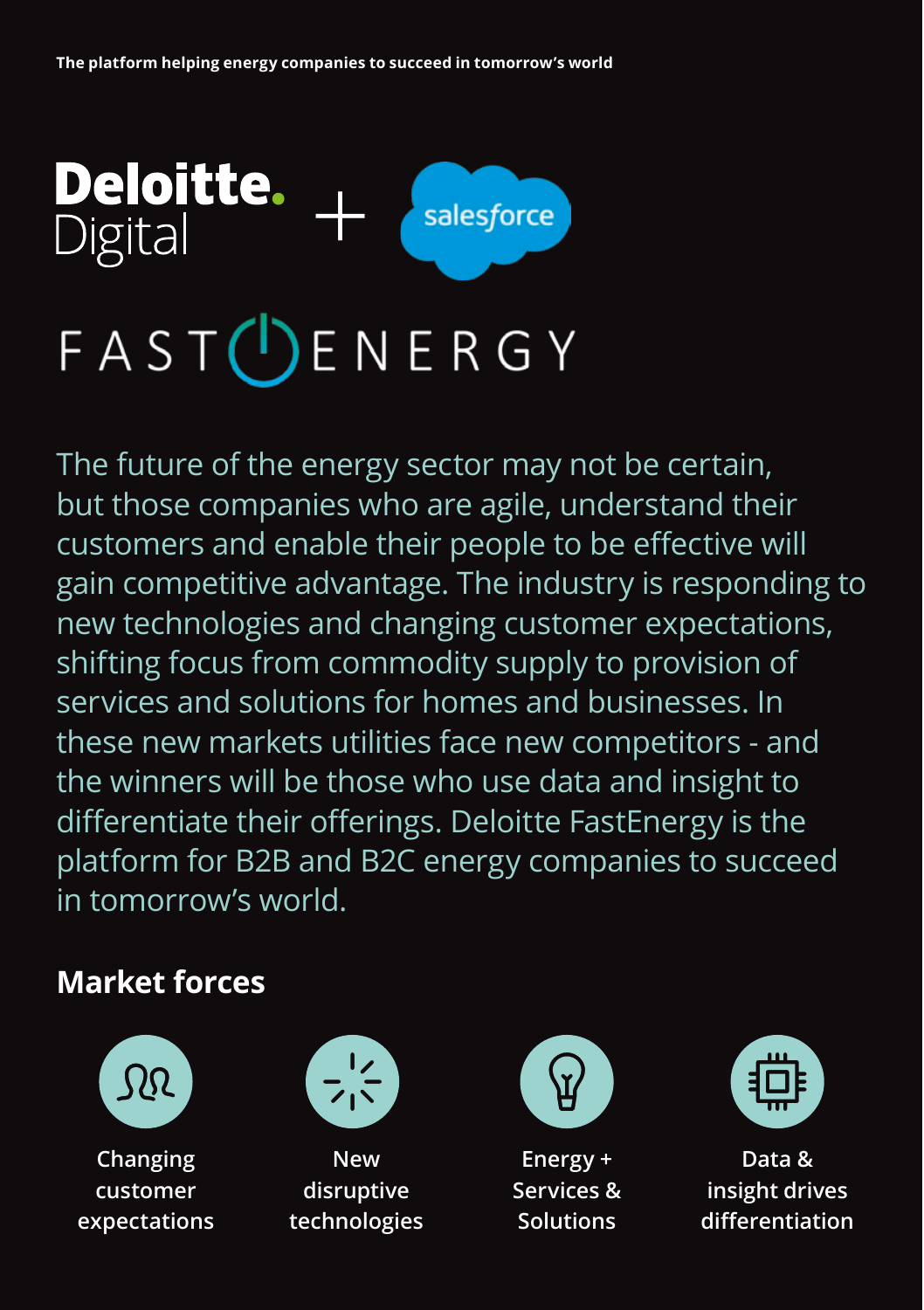

The future of the energy sector may not be certain, but those companies who are agile, understand their customers and enable their people to be effective will gain competitive advantage. The industry is responding to new technologies and changing customer expectations, shifting focus from commodity supply to provision of services and solutions for homes and businesses. In these new markets utilities face new competitors - and the winners will be those who use data and insight to differentiate their offerings. Deloitte FastEnergy is the platform for B2B and B2C energy companies to succeed in tomorrow's world.

# **Market forces**



**Changing customer expectations**



**New disruptive technologies**



**Energy + Services & Solutions**



**Data & insight drives differentiation**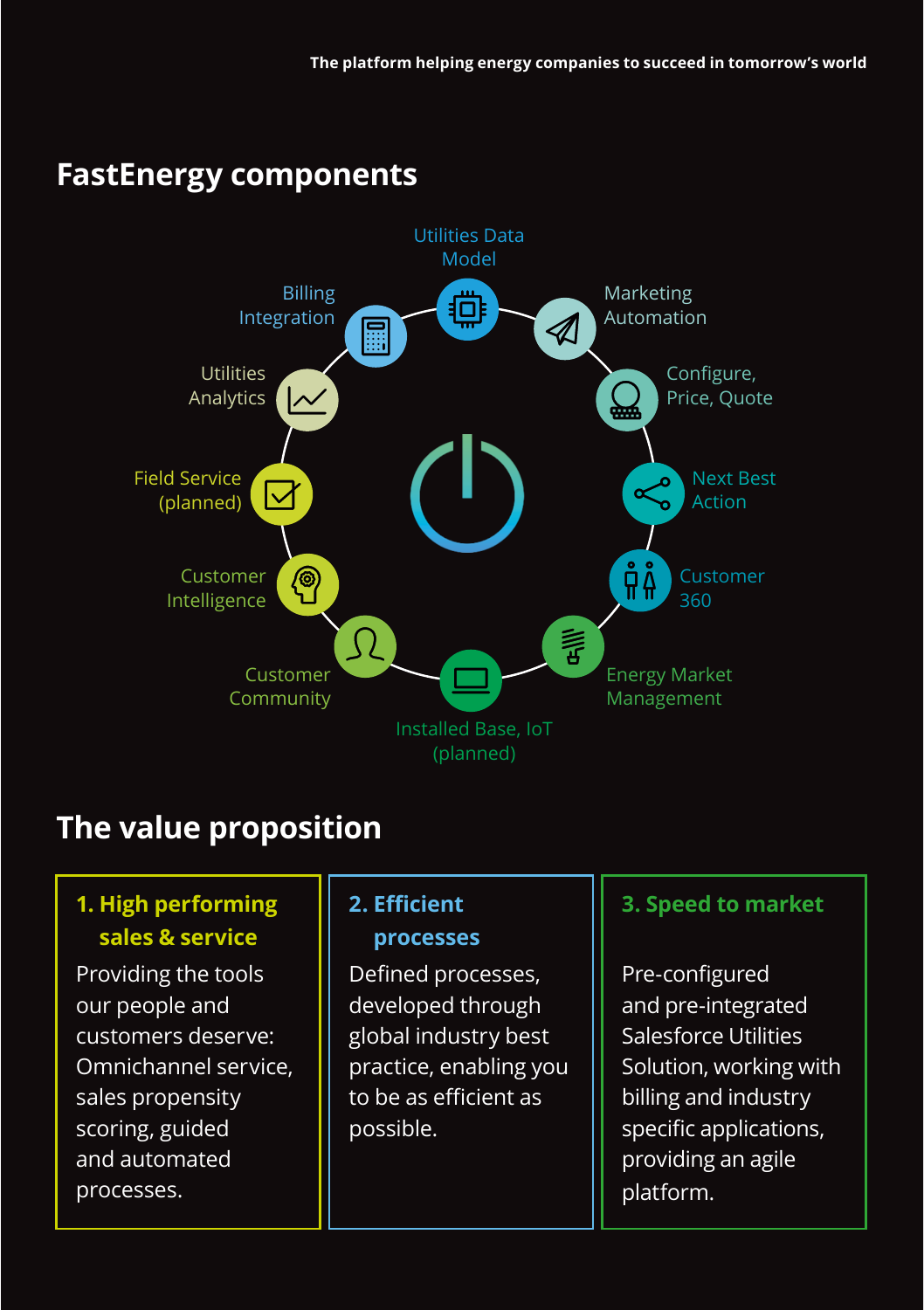## **FastEnergy components**



# **The value proposition**

#### **1. High performing sales & service**

Providing the tools our people and customers deserve: Omnichannel service, sales propensity scoring, guided and automated processes.

#### **2. Efficient processes**

Defined processes, developed through global industry best practice, enabling you to be as efficient as possible.

#### **3. Speed to market**

Pre-configured and pre-integrated Salesforce Utilities Solution, working with billing and industry specific applications, providing an agile platform.